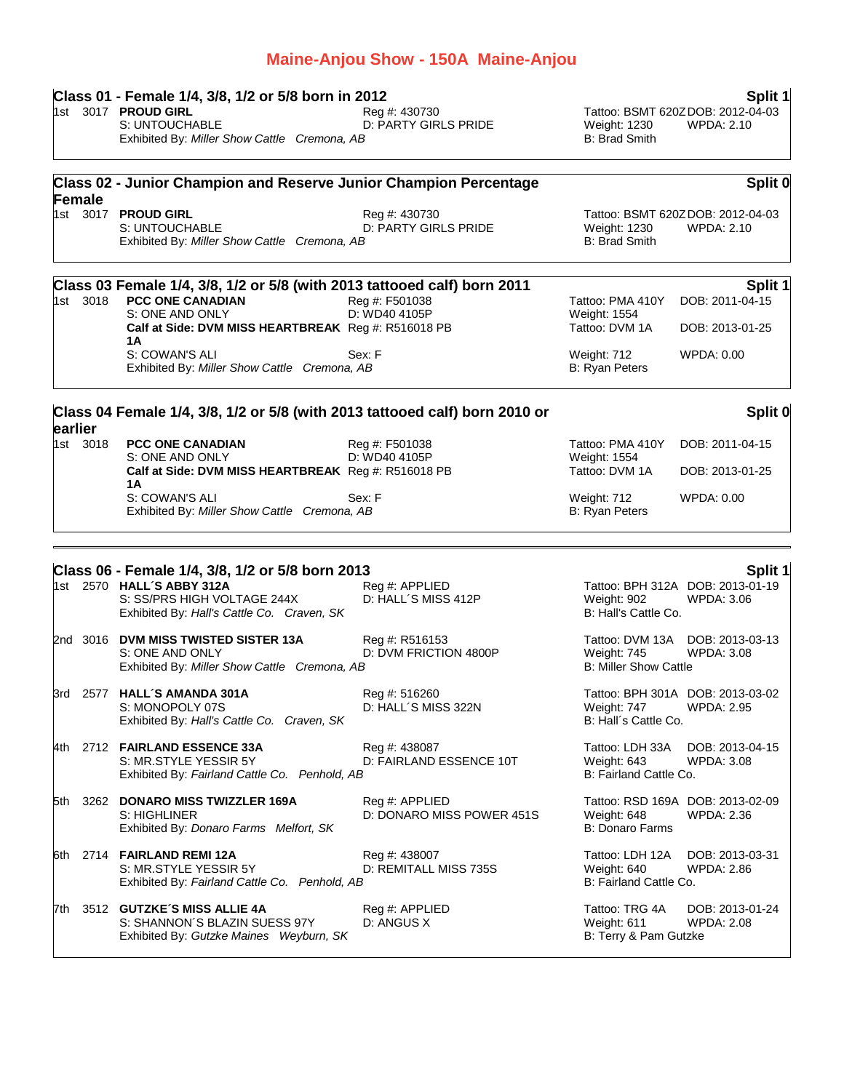## **Class 01 - Female 1/4, 3/8, 1/2 or 5/8 born in 2012 Split 1** 1st 3017 **PROUD GIRL** Reg #: 430730 Tattoo: BSMT 620ZDOB: 2012-04-03 D: PARTY GIRLS PRIDE Weight: 1230<br>B: Brad Smith Exhibited By: Miller Show Cattle Cremona, AB **Class 02 - Junior Champion and Reserve Junior Champion Percentage Female Split 0** 1st 3017 **PROUD GIRL** Reg #: 430730 Tattoo: BSMT 620ZDOB: 2012-04-03 S: UNTOUCHABLE **D: PARTY GIRLS PRIDE** Weight: 1230 WPDA: 2.10<br>
Exhibited By: *Miller Show Cattle Cremona. AB* B: Brad Smith B: Brad Smith Exhibited By: Miller Show Cattle Cremona, AB **Class 03 Female 1/4, 3/8, 1/2 or 5/8 (with 2013 tattooed calf) born 2011 Split 1** 1st 3018 **PCC ONE CANADIAN** Reg #: F501038 Test **Tattoo: PMA 410Y DOB: 2011-04-15**<br>S: ONE AND ONLY D: WD40 4105P Weight: 1554 D: WD40 4105P<br>
Reg #: R516018 PB Tattoo: DVM 1A Calf at Side: DVM MISS HEARTBREAK Reg #: R516018 PB Tattoo: DVM 1A DOB: 2013-01-25 **1A** S: COWAN'S ALI Sex: F Sex: F Weight: 712 WPDA: 0.00 Exhibited By: *Miller Show Cattle Cremona, AB* B: Ryan Peters B: Ryan Peters **Class 04 Female 1/4, 3/8, 1/2 or 5/8 (with 2013 tattooed calf) born 2010 or earlier Split 0** 1st 3018 **PCC ONE CANADIAN** Reg #: F501038 Tattoo: PMA 410Y DOB: 2011-04-15 S: ONE AND ONLY D: WD40 4105P Weight: 1554 **Calf at Side: DVM MISS HEARTBREAK** Reg #: R516018 PB Tattoo: DVM 1A DOB: 2013-01-25 **1A** S: COWAN'S ALI Sex: F Sex: F Weight: 712 WPDA: 0.00 Exhibited By: *Miller Show Cattle Cremona, AB* B: Ryan Peters **Class 06 - Female 1/4, 3/8, 1/2 or 5/8 born 2013 Split 1** Tattoo: BPH 312A DOB: 2013-01-19 S: SS/PRS HIGH VOLTAGE 244X D: HALL´S MISS 412P Weight: 902 WPDA: 3.06<br>
Exhibited By: Hall's Cattle Co. Craven. SK B: Hall's Cattle Co. Exhibited By: Hall's Cattle Co. Craven, SK 2nd 3016 **DVM MISS TWISTED SISTER 13A** Reg #: R516153 Tattoo: DVM 13A DOB: 2013-03-13 D: DVM FRICTION 4800P Weight: 745 WPDA: 3.08 Exhibited By: *Miller Show Cattle Cremona, AB* B: Miller Show Cattle 3rd 2577 **HALL´S AMANDA 301A** Reg #: 516260 Tattoo: BPH 301A DOB: 2013-03-02 S: MONOPOLY 07S D: HALL´S MISS 322N Weight: 747 WPDA: 2.95 Exhibited By: *Hall's Cattle Co. Craven, SK* B: Hall's Cattle Co. 4th 2712 **FAIRLAND ESSENCE 33A** Reg #: 438087 Tattoo: LDH 33A DOB: 2013-04-15 S: MR.STYLE YESSIR 5Y D: FAIRLAND ESSENCE 10T Weight: 643 WPDA: 3.08 Exhibited By: *Fairland Cattle Co. Penhold, AB* B: Fairland Cattle Co. 5th 3262 **DONARO MISS TWIZZLER 169A** Reg #: APPLIED Tattoo: RSD 169A DOB: 2013-02-09 S: HIGHLINER D: DONARO MISS POWER 451S Weight: 648 WPDA: 2.36 Exhibited By: *Donaro Farms Melfort, SK* B: Donaro Farms Melfort, SK 6th 2714 **FAIRLAND REMI 12A** Reg #: 438007 Tattoo: LDH 12A DOB: 2013-03-31 S: MR.STYLE YESSIR 5Y D: REMITALL MISS 735S Weight: 640 Exhibited By: Fairland Cattle Co. Penhold, AB B: Fairland Cattle Co. 7th 3512 **GUTZKE´S MISS ALLIE 4A** Reg #: APPLIED Tattoo: TRG 4A DOB: 2013-01-24<br>S: SHANNON´S BLAZIN SUESS 97Y D: ANGUS X Weight: 611 WPDA: 2.08 S: SHANNON´S BLAZIN SUESS 97Y D: ANGUS X Weight: 611 Exhibited By: Gutzke Maines Weyburn, SK B: Terry & Pam Gutzke

**Maine-Anjou Show - 150A Maine-Anjou**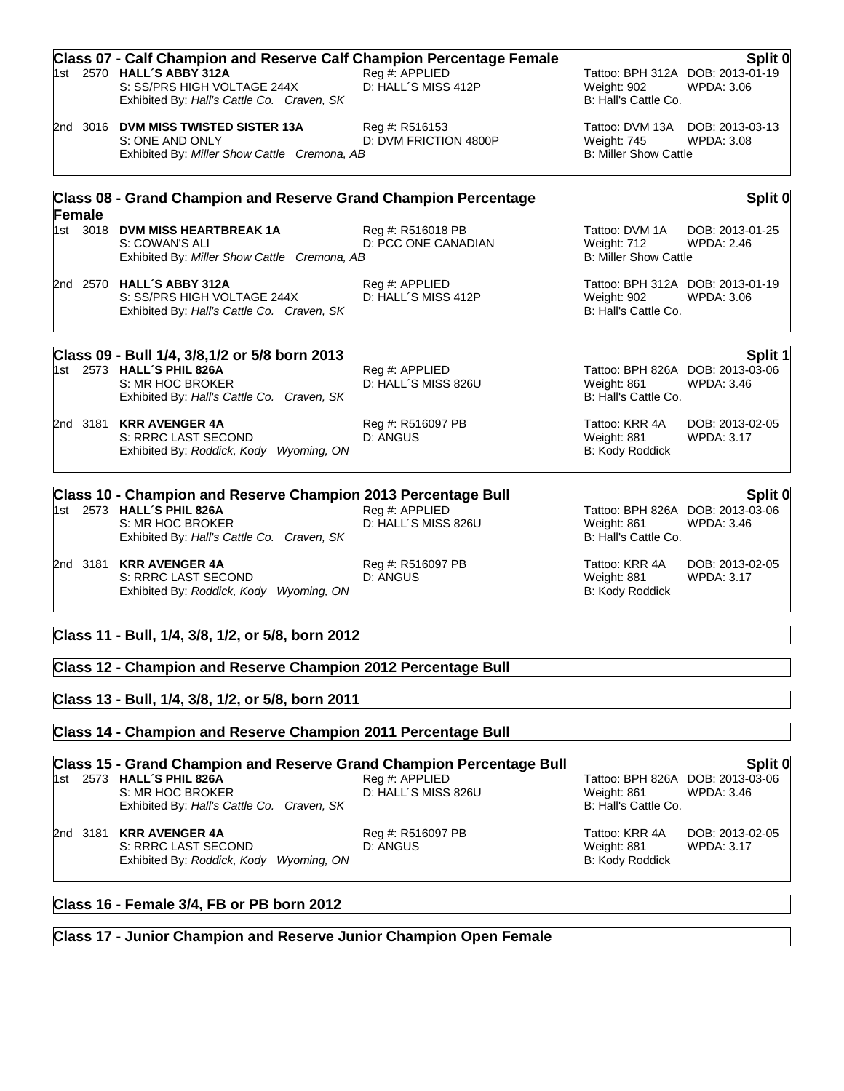|        | <b>Class 07 - Calf Champion and Reserve Calf Champion Percentage Female</b><br>1st 2570 HALL'S ABBY 312A<br>S: SS/PRS HIGH VOLTAGE 244X<br>Exhibited By: Hall's Cattle Co. Craven, SK | Reg #: APPLIED<br>D: HALL'S MISS 412P    | Weight: 902<br>B: Hall's Cattle Co.                           | Split 0<br>Tattoo: BPH 312A DOB: 2013-01-19<br>WPDA: 3.06 |
|--------|---------------------------------------------------------------------------------------------------------------------------------------------------------------------------------------|------------------------------------------|---------------------------------------------------------------|-----------------------------------------------------------|
|        | 2nd 3016 DVM MISS TWISTED SISTER 13A<br>S: ONE AND ONLY<br>Exhibited By: Miller Show Cattle Cremona, AB                                                                               | Reg #: R516153<br>D: DVM FRICTION 4800P  | Weight: 745<br><b>B: Miller Show Cattle</b>                   | Tattoo: DVM 13A DOB: 2013-03-13<br><b>WPDA: 3.08</b>      |
| Female | <b>Class 08 - Grand Champion and Reserve Grand Champion Percentage</b>                                                                                                                |                                          |                                                               | Split 0                                                   |
|        | 1st 3018 DVM MISS HEARTBREAK 1A<br>S: COWAN'S ALI<br>Exhibited By: Miller Show Cattle Cremona, AB                                                                                     | Reg #: R516018 PB<br>D: PCC ONE CANADIAN | Tattoo: DVM 1A<br>Weight: 712<br><b>B: Miller Show Cattle</b> | DOB: 2013-01-25<br><b>WPDA: 2.46</b>                      |
|        | 2nd 2570 HALL'S ABBY 312A<br>S: SS/PRS HIGH VOLTAGE 244X<br>Exhibited By: Hall's Cattle Co. Craven, SK                                                                                | Reg #: APPLIED<br>D: HALL'S MISS 412P    | Weight: 902<br>B: Hall's Cattle Co.                           | Tattoo: BPH 312A DOB: 2013-01-19<br>WPDA: 3.06            |
|        | Class 09 - Bull 1/4, 3/8,1/2 or 5/8 born 2013                                                                                                                                         |                                          |                                                               | Split 1                                                   |
|        | 1st 2573 HALL'S PHIL 826A<br>S: MR HOC BROKER<br>Exhibited By: Hall's Cattle Co. Craven, SK                                                                                           | Reg #: APPLIED<br>D: HALL'S MISS 826U    | Weight: 861<br>B: Hall's Cattle Co.                           | Tattoo: BPH 826A DOB: 2013-03-06<br>WPDA: 3.46            |
|        | 2nd 3181 KRR AVENGER 4A<br>S: RRRC LAST SECOND<br>Exhibited By: Roddick, Kody Wyoming, ON                                                                                             | Reg #: R516097 PB<br>D: ANGUS            | Tattoo: KRR 4A<br>Weight: 881<br>B: Kody Roddick              | DOB: 2013-02-05<br><b>WPDA: 3.17</b>                      |
|        | Class 10 - Champion and Reserve Champion 2013 Percentage Bull                                                                                                                         |                                          |                                                               | Split 0                                                   |
|        | 1st 2573 HALL'S PHIL 826A<br>S: MR HOC BROKER<br>Exhibited By: Hall's Cattle Co. Craven, SK                                                                                           | Reg #: APPLIED<br>D: HALL'S MISS 826U    | Weight: 861<br>B: Hall's Cattle Co.                           | Tattoo: BPH 826A DOB: 2013-03-06<br><b>WPDA: 3.46</b>     |
|        | 2nd 3181 KRR AVENGER 4A<br>S: RRRC LAST SECOND<br>Exhibited By: Roddick, Kody Wyoming, ON                                                                                             | Reg #: R516097 PB<br>D: ANGUS            | Tattoo: KRR 4A<br>Weight: 881<br>B: Kody Roddick              | DOB: 2013-02-05<br>WPDA: 3.17                             |
|        | Class 11 - Bull, 1/4, 3/8, 1/2, or 5/8, born 2012<br>Class 12 - Champion and Reserve Champion 2012 Percentage Bull                                                                    |                                          |                                                               |                                                           |
|        |                                                                                                                                                                                       |                                          |                                                               |                                                           |

# **Class 13 - Bull, 1/4, 3/8, 1/2, or 5/8, born 2011**

#### **Class 14 - Champion and Reserve Champion 2011 Percentage Bull**

# **Class 15 - Grand Champion and Reserve Grand Champion Percentage Bull Split 0**

S: MR HOC BROKER **D: HALL´S MISS 826U** Weight: 861 WPDA: 3.46 Weight: 861 WPDA: 3.46 Exhibited By: Hall's Cattle Co. Exhibited By: Hall's Cattle Co. Craven, SK

2nd 3181 **KRR AVENGER 4A** Reg #: R516097 PB Tattoo: KRR 4A DOB: 2013-02-05 S: RRRC LAST SECOND D: ANGUS<br>
D: ANGUS Connection of the end of the WPDA: 3.17<br>
B: Kody Roddick Wynning, ON B: Kody Roddick Exhibited By: *Roddick, Kody Wyoming, ON* 

Tattoo: BPH 826A DOB: 2013-03-06

#### **Class 16 - Female 3/4, FB or PB born 2012**

## **Class 17 - Junior Champion and Reserve Junior Champion Open Female**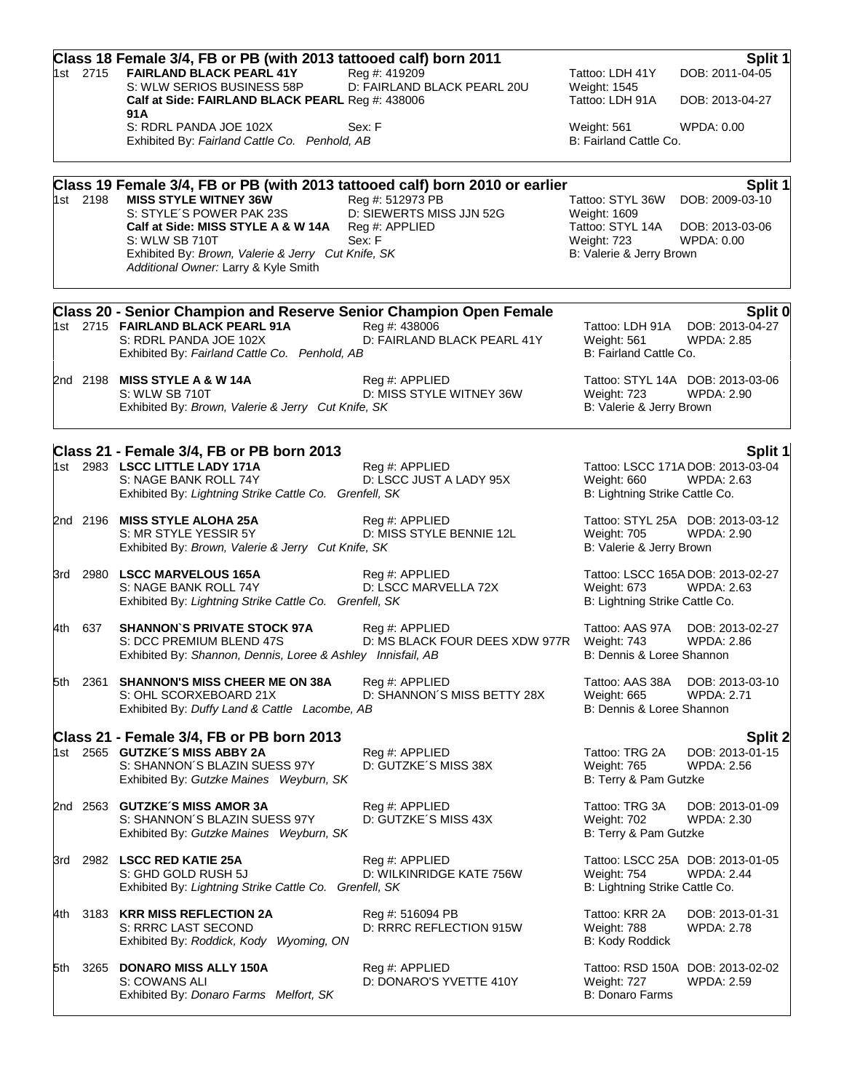|       | 1st 2715 | Class 18 Female 3/4, FB or PB (with 2013 tattooed calf) born 2011<br><b>FAIRLAND BLACK PEARL 41Y</b><br>S: WLW SERIOS BUSINESS 58P                                                                                                                                                             | Reg #: 419209<br>D: FAIRLAND BLACK PEARL 20U                             | Tattoo: LDH 41Y                                                                                 | Split 1<br>DOB: 2011-04-05                                      |
|-------|----------|------------------------------------------------------------------------------------------------------------------------------------------------------------------------------------------------------------------------------------------------------------------------------------------------|--------------------------------------------------------------------------|-------------------------------------------------------------------------------------------------|-----------------------------------------------------------------|
|       |          | Calf at Side: FAIRLAND BLACK PEARL Reg #: 438006<br>91 A                                                                                                                                                                                                                                       |                                                                          | Weight: 1545<br>Tattoo: LDH 91A                                                                 | DOB: 2013-04-27                                                 |
|       |          | S: RDRL PANDA JOE 102X<br>Exhibited By: Fairland Cattle Co. Penhold, AB                                                                                                                                                                                                                        | Sex: F                                                                   | Weight: 561<br>B: Fairland Cattle Co.                                                           | WPDA: 0.00                                                      |
|       | 1st 2198 | Class 19 Female 3/4, FB or PB (with 2013 tattooed calf) born 2010 or earlier<br><b>MISS STYLE WITNEY 36W</b><br>S: STYLE'S POWER PAK 23S<br>Calf at Side: MISS STYLE A & W 14A<br>S: WLW SB 710T<br>Exhibited By: Brown, Valerie & Jerry Cut Knife, SK<br>Additional Owner: Larry & Kyle Smith | Reg #: 512973 PB<br>D: SIEWERTS MISS JJN 52G<br>Reg #: APPLIED<br>Sex: F | Tattoo: STYL 36W<br>Weight: 1609<br>Tattoo: STYL 14A<br>Weight: 723<br>B: Valerie & Jerry Brown | Split 1<br>DOB: 2009-03-10<br>DOB: 2013-03-06<br>WPDA: 0.00     |
|       |          | <b>Class 20 - Senior Champion and Reserve Senior Champion Open Female</b><br>1st 2715 FAIRLAND BLACK PEARL 91A<br>S: RDRL PANDA JOE 102X<br>Exhibited By: Fairland Cattle Co. Penhold, AB                                                                                                      | Rea #: 438006<br>D: FAIRLAND BLACK PEARL 41Y                             | Weight: 561<br>B: Fairland Cattle Co.                                                           | Split 0<br>Tattoo: LDH 91A DOB: 2013-04-27<br><b>WPDA: 2.85</b> |
|       |          | 2nd 2198 MISS STYLE A & W 14A<br>S: WLW SB 710T<br>Exhibited By: Brown, Valerie & Jerry Cut Knife, SK                                                                                                                                                                                          | Reg #: APPLIED<br>D: MISS STYLE WITNEY 36W                               | Weight: 723<br>B: Valerie & Jerry Brown                                                         | Tattoo: STYL 14A DOB: 2013-03-06<br><b>WPDA: 2.90</b>           |
|       |          | Class 21 - Female 3/4, FB or PB born 2013<br>1st 2983 LSCC LITTLE LADY 171A<br>S: NAGE BANK ROLL 74Y<br>Exhibited By: Lightning Strike Cattle Co. Grenfell, SK                                                                                                                                 | Reg #: APPLIED<br>D: LSCC JUST A LADY 95X                                | Weight: 660<br>B: Lightning Strike Cattle Co.                                                   | Split 1<br>Tattoo: LSCC 171A DOB: 2013-03-04<br>WPDA: 2.63      |
|       |          | 2nd 2196 MISS STYLE ALOHA 25A<br>S: MR STYLE YESSIR 5Y<br>Exhibited By: Brown, Valerie & Jerry Cut Knife, SK                                                                                                                                                                                   | Reg #: APPLIED<br>D: MISS STYLE BENNIE 12L                               | Weight: 705<br>B: Valerie & Jerry Brown                                                         | Tattoo: STYL 25A DOB: 2013-03-12<br><b>WPDA: 2.90</b>           |
|       |          | 3rd 2980 LSCC MARVELOUS 165A<br>S: NAGE BANK ROLL 74Y<br>Exhibited By: Lightning Strike Cattle Co. Grenfell, SK                                                                                                                                                                                | Reg #: APPLIED<br>D: LSCC MARVELLA 72X                                   | Weight: 673<br>B: Lightning Strike Cattle Co.                                                   | Tattoo: LSCC 165A DOB: 2013-02-27<br><b>WPDA: 2.63</b>          |
|       | 4th 637  | <b>SHANNON'S PRIVATE STOCK 97A</b><br>S: DCC PREMIUM BLEND 47S<br>Exhibited By: Shannon, Dennis, Loree & Ashley Innisfail, AB                                                                                                                                                                  | Reg #: APPLIED<br>D: MS BLACK FOUR DEES XDW 977R                         | Weight: 743<br>B: Dennis & Loree Shannon                                                        | Tattoo: AAS 97A DOB: 2013-02-27<br><b>WPDA: 2.86</b>            |
|       | 5th 2361 | <b>SHANNON'S MISS CHEER ME ON 38A</b><br>S: OHL SCORXEBOARD 21X<br>Exhibited By: Duffy Land & Cattle Lacombe, AB                                                                                                                                                                               | Reg #: APPLIED<br>D: SHANNON'S MISS BETTY 28X                            | Tattoo: AAS 38A<br>Weight: 665<br>B: Dennis & Loree Shannon                                     | DOB: 2013-03-10<br>WPDA: 2.71                                   |
|       |          | Class 21 - Female 3/4, FB or PB born 2013<br>1st 2565 GUTZKE'S MISS ABBY 2A<br>S: SHANNON'S BLAZIN SUESS 97Y<br>Exhibited By: Gutzke Maines Weyburn, SK                                                                                                                                        | Reg #: APPLIED<br>D: GUTZKE'S MISS 38X                                   | Tattoo: TRG 2A<br>Weight: 765<br>B: Terry & Pam Gutzke                                          | Split 2<br>DOB: 2013-01-15<br><b>WPDA: 2.56</b>                 |
|       |          | 2nd 2563 GUTZKE'S MISS AMOR 3A<br>S: SHANNON'S BLAZIN SUESS 97Y<br>Exhibited By: Gutzke Maines Weyburn, SK                                                                                                                                                                                     | Reg #: APPLIED<br>D: GUTZKE'S MISS 43X                                   | Tattoo: TRG 3A<br>Weight: 702<br>B: Terry & Pam Gutzke                                          | DOB: 2013-01-09<br><b>WPDA: 2.30</b>                            |
| 3rd   |          | 2982 LSCC RED KATIE 25A<br>S: GHD GOLD RUSH 5J<br>Exhibited By: Lightning Strike Cattle Co. Grenfell, SK                                                                                                                                                                                       | Reg #: APPLIED<br>D: WILKINRIDGE KATE 756W                               | Weight: 754<br>B: Lightning Strike Cattle Co.                                                   | Tattoo: LSCC 25A DOB: 2013-01-05<br><b>WPDA: 2.44</b>           |
| 4th l |          | 3183 KRR MISS REFLECTION 2A<br>S: RRRC LAST SECOND<br>Exhibited By: Roddick, Kody Wyoming, ON                                                                                                                                                                                                  | Reg #: 516094 PB<br>D: RRRC REFLECTION 915W                              | Tattoo: KRR 2A<br>Weight: 788<br>B: Kody Roddick                                                | DOB: 2013-01-31<br><b>WPDA: 2.78</b>                            |
| 5th   | 3265     | <b>DONARO MISS ALLY 150A</b><br>S: COWANS ALI<br>Exhibited By: Donaro Farms Melfort, SK                                                                                                                                                                                                        | Reg #: APPLIED<br>D: DONARO'S YVETTE 410Y                                | Weight: 727<br>B: Donaro Farms                                                                  | Tattoo: RSD 150A DOB: 2013-02-02<br>WPDA: 2.59                  |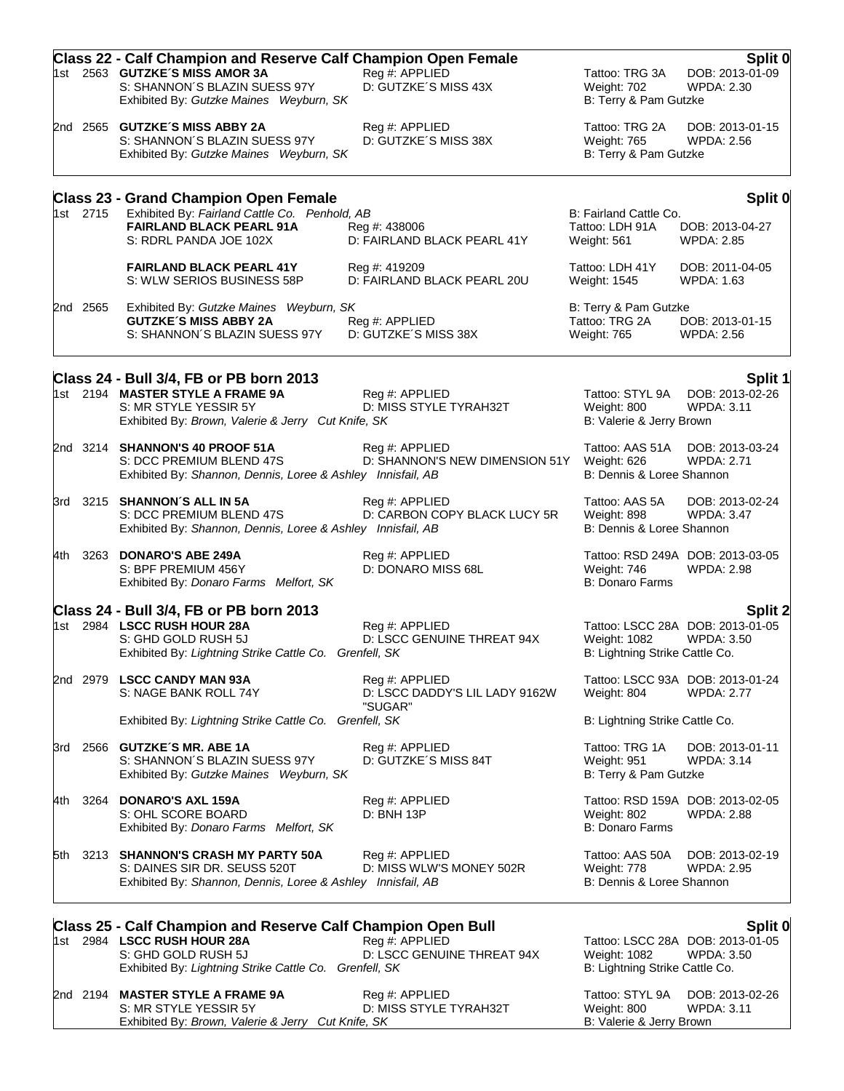|     |          | <b>Class 22 - Calf Champion and Reserve Calf Champion Open Female</b>                                                            |                                                             |                                                               | Split 0                                               |
|-----|----------|----------------------------------------------------------------------------------------------------------------------------------|-------------------------------------------------------------|---------------------------------------------------------------|-------------------------------------------------------|
|     |          | 1st 2563 GUTZKE'S MISS AMOR 3A<br>S: SHANNON'S BLAZIN SUESS 97Y<br>Exhibited By: Gutzke Maines Weyburn, SK                       | Reg #: APPLIED<br>D: GUTZKE'S MISS 43X                      | Tattoo: TRG 3A<br>Weight: 702<br>B: Terry & Pam Gutzke        | DOB: 2013-01-09<br><b>WPDA: 2.30</b>                  |
|     |          | 2nd 2565 GUTZKE'S MISS ABBY 2A<br>S: SHANNON'S BLAZIN SUESS 97Y<br>Exhibited By: Gutzke Maines Weyburn, SK                       | Reg #: APPLIED<br>D: GUTZKE'S MISS 38X                      | Tattoo: TRG 2A<br><b>Weight: 765</b><br>B: Terry & Pam Gutzke | DOB: 2013-01-15<br>WPDA: 2.56                         |
|     |          | <b>Class 23 - Grand Champion Open Female</b>                                                                                     |                                                             |                                                               | Split 0                                               |
|     | 1st 2715 | Exhibited By: Fairland Cattle Co. Penhold, AB<br><b>FAIRLAND BLACK PEARL 91A</b><br>S: RDRL PANDA JOE 102X                       | Reg #: 438006<br>D: FAIRLAND BLACK PEARL 41Y                | B: Fairland Cattle Co.<br>Tattoo: LDH 91A<br>Weight: 561      | DOB: 2013-04-27<br><b>WPDA: 2.85</b>                  |
|     |          | <b>FAIRLAND BLACK PEARL 41Y</b><br>S: WLW SERIOS BUSINESS 58P                                                                    | Reg #: 419209<br>D: FAIRLAND BLACK PEARL 20U                | Tattoo: LDH 41Y<br>Weight: 1545                               | DOB: 2011-04-05<br>WPDA: 1.63                         |
|     | 2nd 2565 | Exhibited By: Gutzke Maines Weyburn, SK<br><b>GUTZKE'S MISS ABBY 2A</b><br>S: SHANNON'S BLAZIN SUESS 97Y                         | Reg #: APPLIED<br>D: GUTZKE'S MISS 38X                      | B: Terry & Pam Gutzke<br>Tattoo: TRG 2A<br>Weight: 765        | DOB: 2013-01-15<br><b>WPDA: 2.56</b>                  |
|     |          | Class 24 - Bull 3/4, FB or PB born 2013                                                                                          |                                                             |                                                               | Split 1                                               |
|     |          | 1st 2194 MASTER STYLE A FRAME 9A<br>S: MR STYLE YESSIR 5Y<br>Exhibited By: Brown, Valerie & Jerry Cut Knife, SK                  | Reg #: APPLIED<br>D: MISS STYLE TYRAH32T                    | Tattoo: STYL 9A<br>Weight: 800<br>B: Valerie & Jerry Brown    | DOB: 2013-02-26<br><b>WPDA: 3.11</b>                  |
|     |          | 2nd 3214 SHANNON'S 40 PROOF 51A<br>S: DCC PREMIUM BLEND 47S<br>Exhibited By: Shannon, Dennis, Loree & Ashley Innisfail, AB       | Reg #: APPLIED<br>D: SHANNON'S NEW DIMENSION 51Y            | Tattoo: AAS 51A<br>Weight: 626<br>B: Dennis & Loree Shannon   | DOB: 2013-03-24<br><b>WPDA: 2.71</b>                  |
|     |          | 3rd 3215 SHANNON'S ALL IN 5A<br>S: DCC PREMIUM BLEND 47S<br>Exhibited By: Shannon, Dennis, Loree & Ashley Innisfail, AB          | Reg #: APPLIED<br>D: CARBON COPY BLACK LUCY 5R              | Tattoo: AAS 5A<br>Weight: 898<br>B: Dennis & Loree Shannon    | DOB: 2013-02-24<br>WPDA: 3.47                         |
|     |          | 4th 3263 DONARO'S ABE 249A<br>S: BPF PREMIUM 456Y<br>Exhibited By: Donaro Farms Melfort, SK                                      | Reg #: APPLIED<br>D: DONARO MISS 68L                        | Weight: 746<br><b>B: Donaro Farms</b>                         | Tattoo: RSD 249A DOB: 2013-03-05<br><b>WPDA: 2.98</b> |
|     |          | Class 24 - Bull 3/4, FB or PB born 2013                                                                                          |                                                             |                                                               | <b>Split 2</b>                                        |
|     |          | 1st 2984 LSCC RUSH HOUR 28A<br>S: GHD GOLD RUSH 5J<br>Exhibited By: Lightning Strike Cattle Co. Grenfell, SK                     | Reg #: APPLIED<br>D: LSCC GENUINE THREAT 94X                | Weight: 1082<br>B: Lightning Strike Cattle Co.                | Tattoo: LSCC 28A DOB: 2013-01-05<br><b>WPDA: 3.50</b> |
|     |          | 2nd 2979 LSCC CANDY MAN 93A<br>S: NAGE BANK ROLL 74Y                                                                             | Reg #: APPLIED<br>D: LSCC DADDY'S LIL LADY 9162W<br>"SUGAR" | Weight: 804                                                   | Tattoo: LSCC 93A DOB: 2013-01-24<br><b>WPDA: 2.77</b> |
|     |          | Exhibited By: Lightning Strike Cattle Co. Grenfell, SK                                                                           |                                                             | B: Lightning Strike Cattle Co.                                |                                                       |
|     |          | 3rd 2566 GUTZKE'S MR. ABE 1A<br>S: SHANNON'S BLAZIN SUESS 97Y<br>Exhibited By: Gutzke Maines Weyburn, SK                         | Reg #: APPLIED<br>D: GUTZKE'S MISS 84T                      | Tattoo: TRG 1A<br>Weight: 951<br>B: Terry & Pam Gutzke        | DOB: 2013-01-11<br>WPDA: 3.14                         |
| 4th | 3264     | <b>DONARO'S AXL 159A</b><br>S: OHL SCORE BOARD<br>Exhibited By: Donaro Farms Melfort, SK                                         | Reg #: APPLIED<br>D: BNH 13P                                | Weight: 802<br>B: Donaro Farms                                | Tattoo: RSD 159A DOB: 2013-02-05<br><b>WPDA: 2.88</b> |
| 5th |          | 3213 SHANNON'S CRASH MY PARTY 50A<br>S: DAINES SIR DR. SEUSS 520T<br>Exhibited By: Shannon, Dennis, Loree & Ashley Innisfail, AB | Reg #: APPLIED<br>D: MISS WLW'S MONEY 502R                  | Tattoo: AAS 50A<br>Weight: 778<br>B: Dennis & Loree Shannon   | DOB: 2013-02-19<br><b>WPDA: 2.95</b>                  |
|     |          | <b>Class 25 - Calf Champion and Reserve Calf Champion Open Bull</b>                                                              |                                                             |                                                               | Split 0                                               |
|     |          | 1st 2984 LSCC RUSH HOUR 28A<br>S: GHD GOLD RUSH 5J<br>Exhibited By: Lightning Strike Cattle Co. Grenfell, SK                     | Reg #: APPLIED<br>D: LSCC GENUINE THREAT 94X                | Weight: 1082<br>B: Lightning Strike Cattle Co.                | Tattoo: LSCC 28A DOB: 2013-01-05<br><b>WPDA: 3.50</b> |
|     |          | 2nd 2194 MASTER STYLE A FRAME 9A                                                                                                 | Reg #: APPLIED                                              | Tattoo: STYL 9A                                               | DOB: 2013-02-26                                       |

| <b>MASTER STYLE A FRAME 9A</b>                     | Reg #: APPLIED         | Tattoo: STYL 9A          | - DOB: 2013-0 |
|----------------------------------------------------|------------------------|--------------------------|---------------|
| S: MR STYLE YESSIR 5Y                              | D: MISS STYLE TYRAH32T | Weight: 800              | WPDA: 3.11    |
| Exhibited By: Brown. Valerie & Jerry Cut Knife. SK |                        | B: Valerie & Jerry Brown |               |
|                                                    |                        |                          |               |

Exhibited By: *Brown, Valerie & Jerry Cut Knife, SK* B: Valerie & Jerry Brown